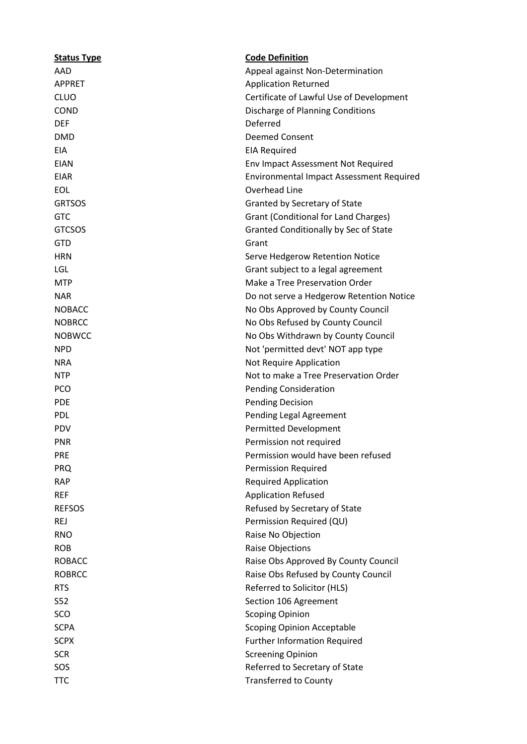| <b>Status Type</b> | <b>Code Definition</b>                          |
|--------------------|-------------------------------------------------|
| AAD                | Appeal against Non-Determination                |
| <b>APPRET</b>      | <b>Application Returned</b>                     |
| <b>CLUO</b>        | Certificate of Lawful Use of Development        |
| <b>COND</b>        | Discharge of Planning Conditions                |
| <b>DEF</b>         | Deferred                                        |
| <b>DMD</b>         | <b>Deemed Consent</b>                           |
| EIA                | <b>EIA Required</b>                             |
| <b>EIAN</b>        | Env Impact Assessment Not Required              |
| <b>EIAR</b>        | <b>Environmental Impact Assessment Required</b> |
| <b>EOL</b>         | Overhead Line                                   |
| <b>GRTSOS</b>      | Granted by Secretary of State                   |
| <b>GTC</b>         | Grant (Conditional for Land Charges)            |
| <b>GTCSOS</b>      | Granted Conditionally by Sec of State           |
| <b>GTD</b>         | Grant                                           |
| <b>HRN</b>         | Serve Hedgerow Retention Notice                 |
| LGL                | Grant subject to a legal agreement              |
| <b>MTP</b>         | Make a Tree Preservation Order                  |
| <b>NAR</b>         | Do not serve a Hedgerow Retention Notice        |
| <b>NOBACC</b>      | No Obs Approved by County Council               |
| <b>NOBRCC</b>      | No Obs Refused by County Council                |
| <b>NOBWCC</b>      | No Obs Withdrawn by County Council              |
| <b>NPD</b>         | Not 'permitted devt' NOT app type               |
| <b>NRA</b>         | Not Require Application                         |
| <b>NTP</b>         | Not to make a Tree Preservation Order           |
| <b>PCO</b>         | <b>Pending Consideration</b>                    |
| <b>PDE</b>         | <b>Pending Decision</b>                         |
| <b>PDL</b>         | <b>Pending Legal Agreement</b>                  |
| PDV                | <b>Permitted Development</b>                    |
| <b>PNR</b>         | Permission not required                         |
| <b>PRE</b>         | Permission would have been refused              |
| <b>PRQ</b>         | Permission Required                             |
| <b>RAP</b>         | <b>Required Application</b>                     |
| <b>REF</b>         | <b>Application Refused</b>                      |
| <b>REFSOS</b>      | Refused by Secretary of State                   |
| <b>REJ</b>         | Permission Required (QU)                        |
| <b>RNO</b>         | Raise No Objection                              |
| <b>ROB</b>         | <b>Raise Objections</b>                         |
| <b>ROBACC</b>      | Raise Obs Approved By County Council            |
| <b>ROBRCC</b>      | Raise Obs Refused by County Council             |
| <b>RTS</b>         | Referred to Solicitor (HLS)                     |
| S52                | Section 106 Agreement                           |
| SCO                | <b>Scoping Opinion</b>                          |
| <b>SCPA</b>        | <b>Scoping Opinion Acceptable</b>               |
| <b>SCPX</b>        | <b>Further Information Required</b>             |
| <b>SCR</b>         | <b>Screening Opinion</b>                        |
| SOS                | Referred to Secretary of State                  |
| <b>TTC</b>         | <b>Transferred to County</b>                    |